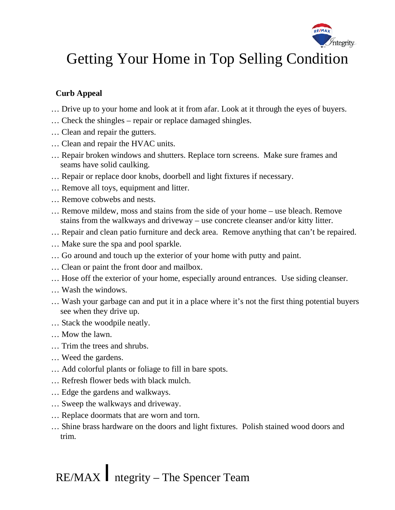

# Getting Your Home in Top Selling Condition

## **Curb Appeal**

- … Drive up to your home and look at it from afar. Look at it through the eyes of buyers.
- … Check the shingles repair or replace damaged shingles.
- … Clean and repair the gutters.
- … Clean and repair the HVAC units.
- … Repair broken windows and shutters. Replace torn screens. Make sure frames and seams have solid caulking.
- … Repair or replace door knobs, doorbell and light fixtures if necessary.
- … Remove all toys, equipment and litter.
- … Remove cobwebs and nests.
- … Remove mildew, moss and stains from the side of your home use bleach. Remove stains from the walkways and driveway – use concrete cleanser and/or kitty litter.
- … Repair and clean patio furniture and deck area. Remove anything that can't be repaired.
- … Make sure the spa and pool sparkle.
- … Go around and touch up the exterior of your home with putty and paint.
- … Clean or paint the front door and mailbox.
- … Hose off the exterior of your home, especially around entrances. Use siding cleanser.
- … Wash the windows.
- … Wash your garbage can and put it in a place where it's not the first thing potential buyers see when they drive up.
- … Stack the woodpile neatly.
- … Mow the lawn.
- … Trim the trees and shrubs.
- … Weed the gardens.
- … Add colorful plants or foliage to fill in bare spots.
- … Refresh flower beds with black mulch.
- … Edge the gardens and walkways.
- … Sweep the walkways and driveway.
- … Replace doormats that are worn and torn.
- … Shine brass hardware on the doors and light fixtures. Polish stained wood doors and trim.

RE/MAX /ntegrity – The Spencer Team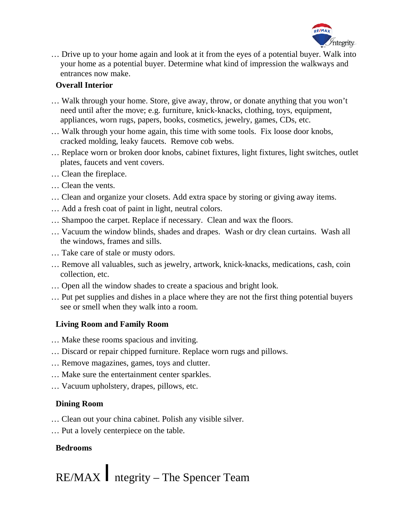

… Drive up to your home again and look at it from the eyes of a potential buyer. Walk into your home as a potential buyer. Determine what kind of impression the walkways and entrances now make.

#### **Overall Interior**

- … Walk through your home. Store, give away, throw, or donate anything that you won't need until after the move; e.g. furniture, knick-knacks, clothing, toys, equipment, appliances, worn rugs, papers, books, cosmetics, jewelry, games, CDs, etc.
- … Walk through your home again, this time with some tools. Fix loose door knobs, cracked molding, leaky faucets. Remove cob webs.
- … Replace worn or broken door knobs, cabinet fixtures, light fixtures, light switches, outlet plates, faucets and vent covers.
- … Clean the fireplace.
- … Clean the vents.
- … Clean and organize your closets. Add extra space by storing or giving away items.
- … Add a fresh coat of paint in light, neutral colors.
- … Shampoo the carpet. Replace if necessary. Clean and wax the floors.
- … Vacuum the window blinds, shades and drapes. Wash or dry clean curtains. Wash all the windows, frames and sills.
- … Take care of stale or musty odors.
- … Remove all valuables, such as jewelry, artwork, knick-knacks, medications, cash, coin collection, etc.
- … Open all the window shades to create a spacious and bright look.
- … Put pet supplies and dishes in a place where they are not the first thing potential buyers see or smell when they walk into a room.

## **Living Room and Family Room**

- … Make these rooms spacious and inviting.
- … Discard or repair chipped furniture. Replace worn rugs and pillows.
- … Remove magazines, games, toys and clutter.
- … Make sure the entertainment center sparkles.
- … Vacuum upholstery, drapes, pillows, etc.

## **Dining Room**

- … Clean out your china cabinet. Polish any visible silver.
- … Put a lovely centerpiece on the table.

## **Bedrooms**

RE/MAX /ntegrity – The Spencer Team